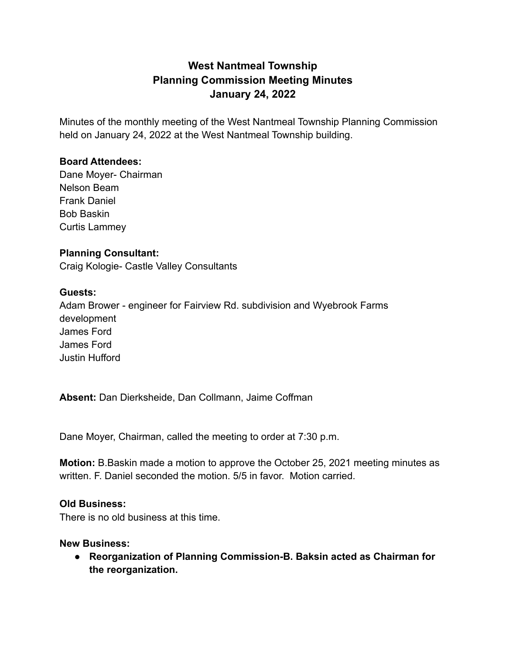# **West Nantmeal Township Planning Commission Meeting Minutes January 24, 2022**

Minutes of the monthly meeting of the West Nantmeal Township Planning Commission held on January 24, 2022 at the West Nantmeal Township building.

## **Board Attendees:**

Dane Moyer- Chairman Nelson Beam Frank Daniel Bob Baskin Curtis Lammey

## **Planning Consultant:**

Craig Kologie- Castle Valley Consultants

## **Guests:**

Adam Brower - engineer for Fairview Rd. subdivision and Wyebrook Farms development James Ford James Ford Justin Hufford

**Absent:** Dan Dierksheide, Dan Collmann, Jaime Coffman

Dane Moyer, Chairman, called the meeting to order at 7:30 p.m.

**Motion:** B.Baskin made a motion to approve the October 25, 2021 meeting minutes as written. F. Daniel seconded the motion. 5/5 in favor. Motion carried.

#### **Old Business:**

There is no old business at this time.

#### **New Business:**

**● Reorganization of Planning Commission-B. Baksin acted as Chairman for the reorganization.**